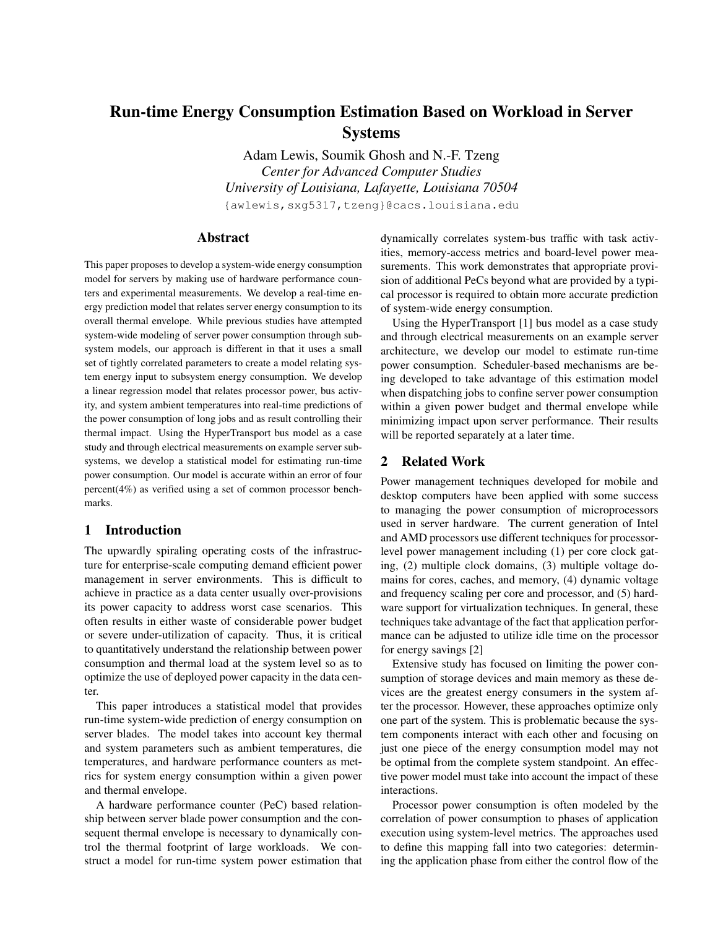# Run-time Energy Consumption Estimation Based on Workload in Server Systems

Adam Lewis, Soumik Ghosh and N.-F. Tzeng *Center for Advanced Computer Studies University of Louisiana, Lafayette, Louisiana 70504* {awlewis,sxg5317,tzeng}@cacs.louisiana.edu

# Abstract

This paper proposes to develop a system-wide energy consumption model for servers by making use of hardware performance counters and experimental measurements. We develop a real-time energy prediction model that relates server energy consumption to its overall thermal envelope. While previous studies have attempted system-wide modeling of server power consumption through subsystem models, our approach is different in that it uses a small set of tightly correlated parameters to create a model relating system energy input to subsystem energy consumption. We develop a linear regression model that relates processor power, bus activity, and system ambient temperatures into real-time predictions of the power consumption of long jobs and as result controlling their thermal impact. Using the HyperTransport bus model as a case study and through electrical measurements on example server subsystems, we develop a statistical model for estimating run-time power consumption. Our model is accurate within an error of four percent(4%) as verified using a set of common processor benchmarks.

# 1 Introduction

The upwardly spiraling operating costs of the infrastructure for enterprise-scale computing demand efficient power management in server environments. This is difficult to achieve in practice as a data center usually over-provisions its power capacity to address worst case scenarios. This often results in either waste of considerable power budget or severe under-utilization of capacity. Thus, it is critical to quantitatively understand the relationship between power consumption and thermal load at the system level so as to optimize the use of deployed power capacity in the data center.

This paper introduces a statistical model that provides run-time system-wide prediction of energy consumption on server blades. The model takes into account key thermal and system parameters such as ambient temperatures, die temperatures, and hardware performance counters as metrics for system energy consumption within a given power and thermal envelope.

A hardware performance counter (PeC) based relationship between server blade power consumption and the consequent thermal envelope is necessary to dynamically control the thermal footprint of large workloads. We construct a model for run-time system power estimation that dynamically correlates system-bus traffic with task activities, memory-access metrics and board-level power measurements. This work demonstrates that appropriate provision of additional PeCs beyond what are provided by a typical processor is required to obtain more accurate prediction of system-wide energy consumption.

Using the HyperTransport [1] bus model as a case study and through electrical measurements on an example server architecture, we develop our model to estimate run-time power consumption. Scheduler-based mechanisms are being developed to take advantage of this estimation model when dispatching jobs to confine server power consumption within a given power budget and thermal envelope while minimizing impact upon server performance. Their results will be reported separately at a later time.

## 2 Related Work

Power management techniques developed for mobile and desktop computers have been applied with some success to managing the power consumption of microprocessors used in server hardware. The current generation of Intel and AMD processors use different techniques for processorlevel power management including (1) per core clock gating, (2) multiple clock domains, (3) multiple voltage domains for cores, caches, and memory, (4) dynamic voltage and frequency scaling per core and processor, and (5) hardware support for virtualization techniques. In general, these techniques take advantage of the fact that application performance can be adjusted to utilize idle time on the processor for energy savings [2]

Extensive study has focused on limiting the power consumption of storage devices and main memory as these devices are the greatest energy consumers in the system after the processor. However, these approaches optimize only one part of the system. This is problematic because the system components interact with each other and focusing on just one piece of the energy consumption model may not be optimal from the complete system standpoint. An effective power model must take into account the impact of these interactions.

Processor power consumption is often modeled by the correlation of power consumption to phases of application execution using system-level metrics. The approaches used to define this mapping fall into two categories: determining the application phase from either the control flow of the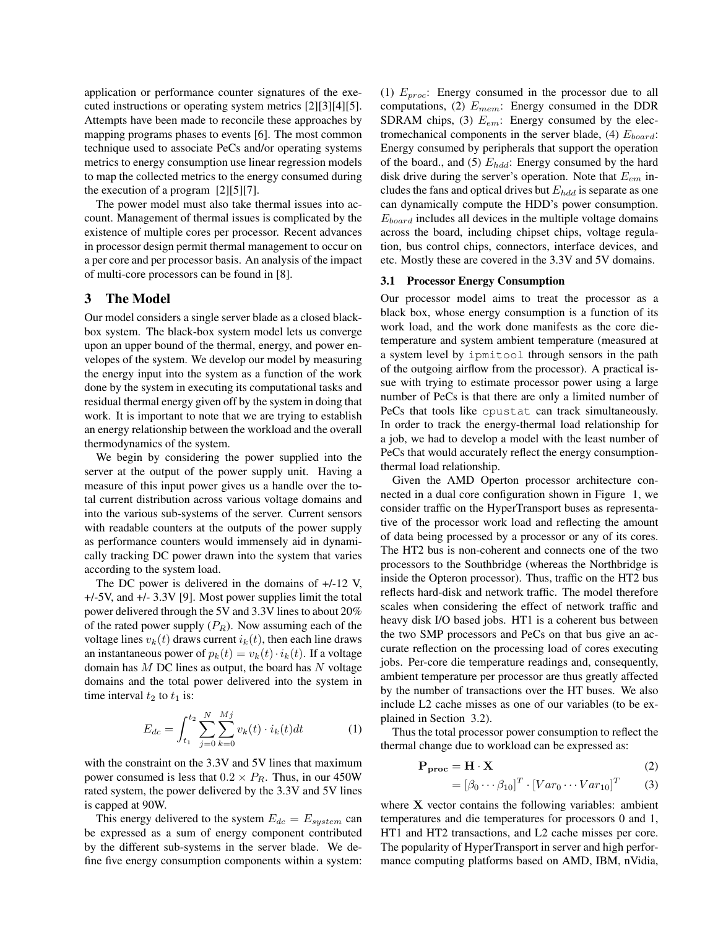application or performance counter signatures of the executed instructions or operating system metrics [2][3][4][5]. Attempts have been made to reconcile these approaches by mapping programs phases to events [6]. The most common technique used to associate PeCs and/or operating systems metrics to energy consumption use linear regression models to map the collected metrics to the energy consumed during the execution of a program [2][5][7].

The power model must also take thermal issues into account. Management of thermal issues is complicated by the existence of multiple cores per processor. Recent advances in processor design permit thermal management to occur on a per core and per processor basis. An analysis of the impact of multi-core processors can be found in [8].

# 3 The Model

Our model considers a single server blade as a closed blackbox system. The black-box system model lets us converge upon an upper bound of the thermal, energy, and power envelopes of the system. We develop our model by measuring the energy input into the system as a function of the work done by the system in executing its computational tasks and residual thermal energy given off by the system in doing that work. It is important to note that we are trying to establish an energy relationship between the workload and the overall thermodynamics of the system.

We begin by considering the power supplied into the server at the output of the power supply unit. Having a measure of this input power gives us a handle over the total current distribution across various voltage domains and into the various sub-systems of the server. Current sensors with readable counters at the outputs of the power supply as performance counters would immensely aid in dynamically tracking DC power drawn into the system that varies according to the system load.

The DC power is delivered in the domains of +/-12 V, +/-5V, and +/- 3.3V [9]. Most power supplies limit the total power delivered through the 5V and 3.3V lines to about 20% of the rated power supply  $(P_R)$ . Now assuming each of the voltage lines  $v_k(t)$  draws current  $i_k(t)$ , then each line draws an instantaneous power of  $p_k(t) = v_k(t) \cdot i_k(t)$ . If a voltage domain has  $M$  DC lines as output, the board has  $N$  voltage domains and the total power delivered into the system in time interval  $t_2$  to  $t_1$  is:

$$
E_{dc} = \int_{t_1}^{t_2} \sum_{j=0}^{N} \sum_{k=0}^{Mj} v_k(t) \cdot i_k(t) dt \tag{1}
$$

with the constraint on the 3.3V and 5V lines that maximum power consumed is less that  $0.2 \times P_R$ . Thus, in our 450W rated system, the power delivered by the 3.3V and 5V lines is capped at 90W.

This energy delivered to the system  $E_{dc} = E_{system}$  can be expressed as a sum of energy component contributed by the different sub-systems in the server blade. We define five energy consumption components within a system: (1)  $E_{proc}$ : Energy consumed in the processor due to all computations, (2)  $E_{mem}$ : Energy consumed in the DDR SDRAM chips, (3)  $E_{em}$ : Energy consumed by the electromechanical components in the server blade, (4)  $E_{board}$ : Energy consumed by peripherals that support the operation of the board., and (5)  $E_{hdd}$ : Energy consumed by the hard disk drive during the server's operation. Note that  $E_{em}$  includes the fans and optical drives but  $E_{hdd}$  is separate as one can dynamically compute the HDD's power consumption.  $E_{board}$  includes all devices in the multiple voltage domains across the board, including chipset chips, voltage regulation, bus control chips, connectors, interface devices, and etc. Mostly these are covered in the 3.3V and 5V domains.

#### 3.1 Processor Energy Consumption

Our processor model aims to treat the processor as a black box, whose energy consumption is a function of its work load, and the work done manifests as the core dietemperature and system ambient temperature (measured at a system level by ipmitool through sensors in the path of the outgoing airflow from the processor). A practical issue with trying to estimate processor power using a large number of PeCs is that there are only a limited number of PeCs that tools like cpustat can track simultaneously. In order to track the energy-thermal load relationship for a job, we had to develop a model with the least number of PeCs that would accurately reflect the energy consumptionthermal load relationship.

Given the AMD Operton processor architecture connected in a dual core configuration shown in Figure 1, we consider traffic on the HyperTransport buses as representative of the processor work load and reflecting the amount of data being processed by a processor or any of its cores. The HT2 bus is non-coherent and connects one of the two processors to the Southbridge (whereas the Northbridge is inside the Opteron processor). Thus, traffic on the HT2 bus reflects hard-disk and network traffic. The model therefore scales when considering the effect of network traffic and heavy disk I/O based jobs. HT1 is a coherent bus between the two SMP processors and PeCs on that bus give an accurate reflection on the processing load of cores executing jobs. Per-core die temperature readings and, consequently, ambient temperature per processor are thus greatly affected by the number of transactions over the HT buses. We also include L2 cache misses as one of our variables (to be explained in Section 3.2).

Thus the total processor power consumption to reflect the thermal change due to workload can be expressed as:

$$
P_{\text{proc}} = H \cdot X \tag{2}
$$

$$
= [\beta_0 \cdots \beta_{10}]^T \cdot [Var_0 \cdots Var_{10}]^T \qquad (3)
$$

where  $X$  vector contains the following variables: ambient temperatures and die temperatures for processors 0 and 1, HT1 and HT2 transactions, and L2 cache misses per core. The popularity of HyperTransport in server and high performance computing platforms based on AMD, IBM, nVidia,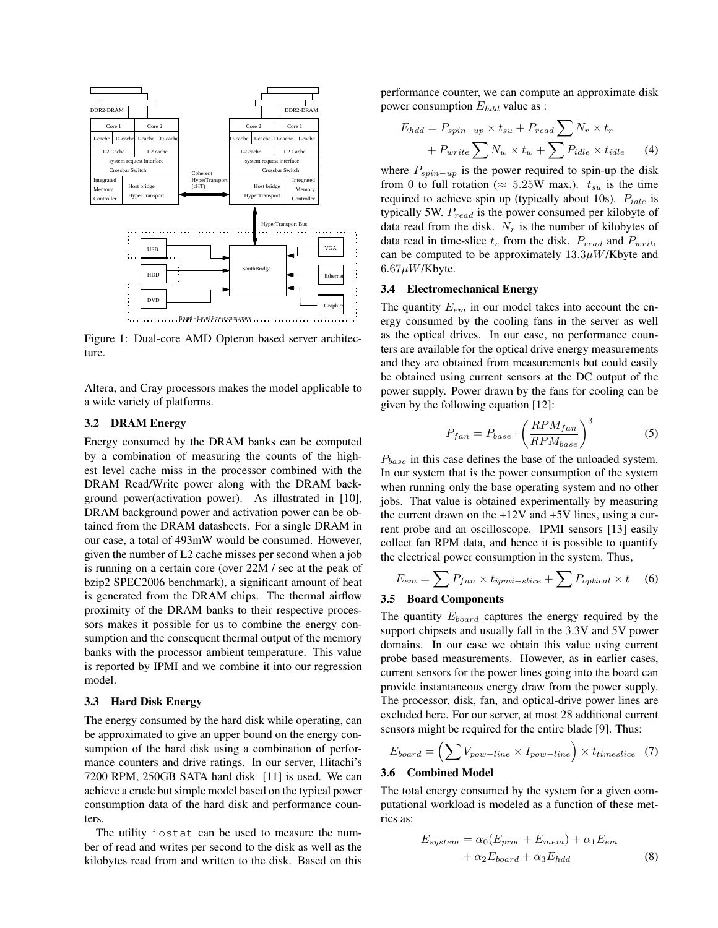

Figure 1: Dual-core AMD Opteron based server architecture.

Altera, and Cray processors makes the model applicable to a wide variety of platforms.

# 3.2 DRAM Energy

Energy consumed by the DRAM banks can be computed by a combination of measuring the counts of the highest level cache miss in the processor combined with the DRAM Read/Write power along with the DRAM background power(activation power). As illustrated in [10], DRAM background power and activation power can be obtained from the DRAM datasheets. For a single DRAM in our case, a total of 493mW would be consumed. However, given the number of L2 cache misses per second when a job is running on a certain core (over 22M / sec at the peak of bzip2 SPEC2006 benchmark), a significant amount of heat is generated from the DRAM chips. The thermal airflow proximity of the DRAM banks to their respective processors makes it possible for us to combine the energy consumption and the consequent thermal output of the memory banks with the processor ambient temperature. This value is reported by IPMI and we combine it into our regression model.

#### 3.3 Hard Disk Energy

The energy consumed by the hard disk while operating, can be approximated to give an upper bound on the energy consumption of the hard disk using a combination of performance counters and drive ratings. In our server, Hitachi's 7200 RPM, 250GB SATA hard disk [11] is used. We can achieve a crude but simple model based on the typical power consumption data of the hard disk and performance counters.

The utility iostat can be used to measure the number of read and writes per second to the disk as well as the kilobytes read from and written to the disk. Based on this performance counter, we can compute an approximate disk power consumption  $E_{hdd}$  value as :

$$
E_{hdd} = P_{spin-up} \times t_{su} + P_{read} \sum N_r \times t_r
$$

$$
+ P_{write} \sum N_w \times t_w + \sum P_{idle} \times t_{idle}
$$
 (4)

where  $P_{spin-up}$  is the power required to spin-up the disk from 0 to full rotation ( $\approx 5.25W$  max.).  $t_{su}$  is the time required to achieve spin up (typically about 10s).  $P_{idle}$  is typically 5W.  $P_{read}$  is the power consumed per kilobyte of data read from the disk.  $N_r$  is the number of kilobytes of data read in time-slice  $t_r$  from the disk.  $P_{read}$  and  $P_{write}$ can be computed to be approximately  $13.3\mu W/K$  byte and  $6.67 \mu W$ /Kbyte.

# 3.4 Electromechanical Energy

The quantity  $E_{em}$  in our model takes into account the energy consumed by the cooling fans in the server as well as the optical drives. In our case, no performance counters are available for the optical drive energy measurements and they are obtained from measurements but could easily be obtained using current sensors at the DC output of the power supply. Power drawn by the fans for cooling can be given by the following equation [12]:

$$
P_{fan} = P_{base} \cdot \left(\frac{RPM_{fan}}{RPM_{base}}\right)^3 \tag{5}
$$

 $P_{base}$  in this case defines the base of the unloaded system. In our system that is the power consumption of the system when running only the base operating system and no other jobs. That value is obtained experimentally by measuring the current drawn on the  $+12V$  and  $+5V$  lines, using a current probe and an oscilloscope. IPMI sensors [13] easily collect fan RPM data, and hence it is possible to quantify the electrical power consumption in the system. Thus,

$$
E_{em} = \sum P_{fan} \times t_{ipmi-slice} + \sum P_{optical} \times t
$$
 (6)

#### 3.5 Board Components

The quantity  $E_{board}$  captures the energy required by the support chipsets and usually fall in the 3.3V and 5V power domains. In our case we obtain this value using current probe based measurements. However, as in earlier cases, current sensors for the power lines going into the board can provide instantaneous energy draw from the power supply. The processor, disk, fan, and optical-drive power lines are excluded here. For our server, at most 28 additional current sensors might be required for the entire blade [9]. Thus:

$$
E_{board} = \left(\sum V_{pow-line} \times I_{pow-line}\right) \times t_{timeslice} \quad (7)
$$

## 3.6 Combined Model

The total energy consumed by the system for a given computational workload is modeled as a function of these metrics as:

$$
E_{system} = \alpha_0 (E_{proc} + E_{mem}) + \alpha_1 E_{em}
$$

$$
+ \alpha_2 E_{board} + \alpha_3 E_{hdd}
$$
(8)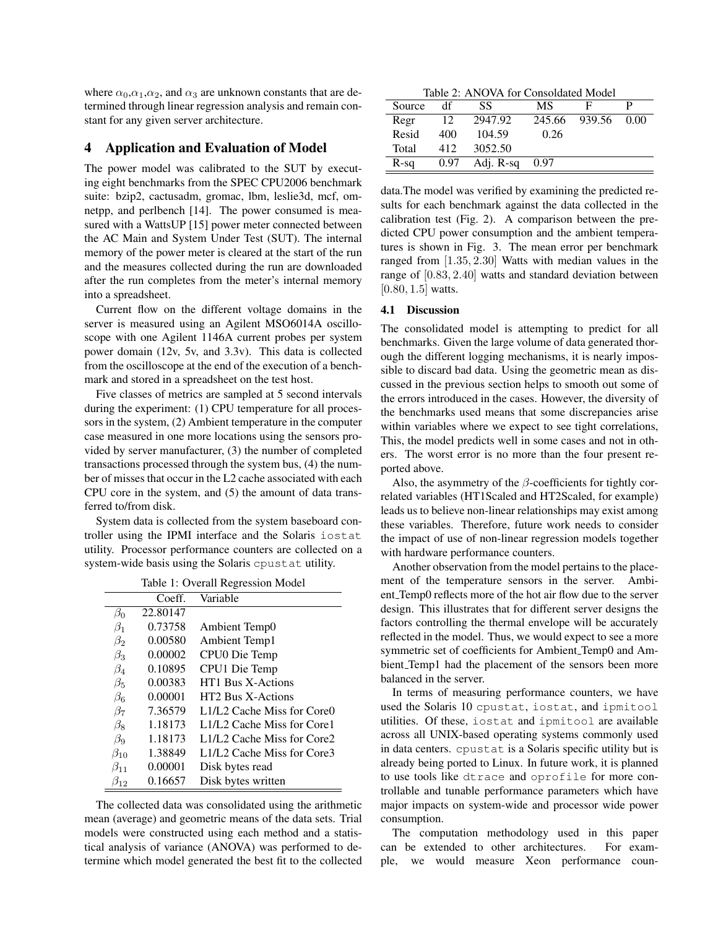where  $\alpha_0, \alpha_1, \alpha_2$ , and  $\alpha_3$  are unknown constants that are determined through linear regression analysis and remain constant for any given server architecture.

## 4 Application and Evaluation of Model

The power model was calibrated to the SUT by executing eight benchmarks from the SPEC CPU2006 benchmark suite: bzip2, cactusadm, gromac, lbm, leslie3d, mcf, omnetpp, and perlbench [14]. The power consumed is measured with a WattsUP [15] power meter connected between the AC Main and System Under Test (SUT). The internal memory of the power meter is cleared at the start of the run and the measures collected during the run are downloaded after the run completes from the meter's internal memory into a spreadsheet.

Current flow on the different voltage domains in the server is measured using an Agilent MSO6014A oscilloscope with one Agilent 1146A current probes per system power domain (12v, 5v, and 3.3v). This data is collected from the oscilloscope at the end of the execution of a benchmark and stored in a spreadsheet on the test host.

Five classes of metrics are sampled at 5 second intervals during the experiment: (1) CPU temperature for all processors in the system, (2) Ambient temperature in the computer case measured in one more locations using the sensors provided by server manufacturer, (3) the number of completed transactions processed through the system bus, (4) the number of misses that occur in the L2 cache associated with each CPU core in the system, and (5) the amount of data transferred to/from disk.

System data is collected from the system baseboard controller using the IPMI interface and the Solaris iostat utility. Processor performance counters are collected on a system-wide basis using the Solaris cpustat utility.

|  |  | Table 1: Overall Regression Model |  |
|--|--|-----------------------------------|--|
|--|--|-----------------------------------|--|

| rable 1. Overall Regression model |          |                            |  |
|-----------------------------------|----------|----------------------------|--|
|                                   | Coeff.   | Variable                   |  |
| $\beta_0$                         | 22.80147 |                            |  |
| $\beta_1$                         | 0.73758  | Ambient Temp0              |  |
| $\beta_2$                         | 0.00580  | Ambient Temp1              |  |
| $\beta_3$                         | 0.00002  | CPU0 Die Temp              |  |
| $\beta_4$                         | 0.10895  | CPU1 Die Temp              |  |
| $\beta_5$                         | 0.00383  | HT1 Bus X-Actions          |  |
| $\beta_6$                         | 0.00001  | HT2 Bus X-Actions          |  |
| $\beta_7$                         | 7.36579  | L1/L2 Cache Miss for Core0 |  |
| $\beta_8$                         | 1.18173  | L1/L2 Cache Miss for Core1 |  |
| $\beta_9$                         | 1.18173  | L1/L2 Cache Miss for Core2 |  |
| $\beta_{10}$                      | 1.38849  | L1/L2 Cache Miss for Core3 |  |
| $\beta_{11}$                      | 0.00001  | Disk bytes read            |  |
| $\beta_{12}$                      | 0.16657  | Disk bytes written         |  |

The collected data was consolidated using the arithmetic mean (average) and geometric means of the data sets. Trial models were constructed using each method and a statistical analysis of variance (ANOVA) was performed to determine which model generated the best fit to the collected

Table 2: ANOVA for Consoldated Model Source df SS MS F P Regr 12 2947.92 245.66 939.56 0.00 Resid 400 104.59 0.26 Total 412 3052.50 R-sq 0.97 Adj. R-sq 0.97

data.The model was verified by examining the predicted results for each benchmark against the data collected in the calibration test (Fig. 2). A comparison between the predicted CPU power consumption and the ambient temperatures is shown in Fig. 3. The mean error per benchmark ranged from [1.35, 2.30] Watts with median values in the range of [0.83, 2.40] watts and standard deviation between [0.80, 1.5] watts.

### 4.1 Discussion

The consolidated model is attempting to predict for all benchmarks. Given the large volume of data generated thorough the different logging mechanisms, it is nearly impossible to discard bad data. Using the geometric mean as discussed in the previous section helps to smooth out some of the errors introduced in the cases. However, the diversity of the benchmarks used means that some discrepancies arise within variables where we expect to see tight correlations, This, the model predicts well in some cases and not in others. The worst error is no more than the four present reported above.

Also, the asymmetry of the  $\beta$ -coefficients for tightly correlated variables (HT1Scaled and HT2Scaled, for example) leads us to believe non-linear relationships may exist among these variables. Therefore, future work needs to consider the impact of use of non-linear regression models together with hardware performance counters.

Another observation from the model pertains to the placement of the temperature sensors in the server. Ambient Temp0 reflects more of the hot air flow due to the server design. This illustrates that for different server designs the factors controlling the thermal envelope will be accurately reflected in the model. Thus, we would expect to see a more symmetric set of coefficients for Ambient Temp0 and Ambient Temp1 had the placement of the sensors been more balanced in the server.

In terms of measuring performance counters, we have used the Solaris 10 cpustat, iostat, and ipmitool utilities. Of these, iostat and ipmitool are available across all UNIX-based operating systems commonly used in data centers. cpustat is a Solaris specific utility but is already being ported to Linux. In future work, it is planned to use tools like dtrace and oprofile for more controllable and tunable performance parameters which have major impacts on system-wide and processor wide power consumption.

The computation methodology used in this paper can be extended to other architectures. For example, we would measure Xeon performance coun-